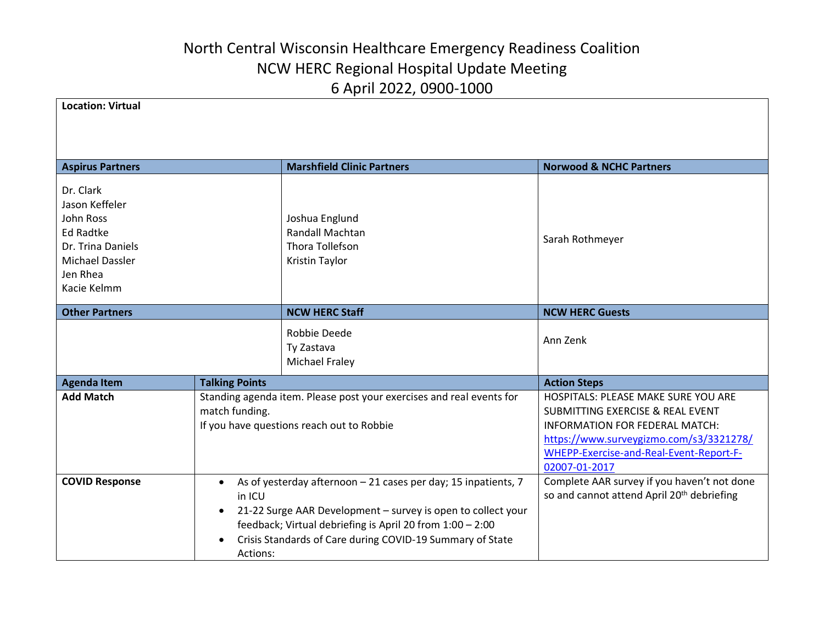| <b>Location: Virtual</b>                                                                                                        |                                                                                                                                                                                                                                                                                                                       |                                                                                                                                                                                                                                    |
|---------------------------------------------------------------------------------------------------------------------------------|-----------------------------------------------------------------------------------------------------------------------------------------------------------------------------------------------------------------------------------------------------------------------------------------------------------------------|------------------------------------------------------------------------------------------------------------------------------------------------------------------------------------------------------------------------------------|
| <b>Aspirus Partners</b>                                                                                                         | <b>Marshfield Clinic Partners</b>                                                                                                                                                                                                                                                                                     | <b>Norwood &amp; NCHC Partners</b>                                                                                                                                                                                                 |
| Dr. Clark<br>Jason Keffeler<br>John Ross<br><b>Ed Radtke</b><br>Dr. Trina Daniels<br>Michael Dassler<br>Jen Rhea<br>Kacie Kelmm | Joshua Englund<br><b>Randall Machtan</b><br>Thora Tollefson<br>Kristin Taylor                                                                                                                                                                                                                                         | Sarah Rothmeyer                                                                                                                                                                                                                    |
| <b>Other Partners</b>                                                                                                           | <b>NCW HERC Staff</b>                                                                                                                                                                                                                                                                                                 | <b>NCW HERC Guests</b>                                                                                                                                                                                                             |
|                                                                                                                                 | Robbie Deede<br>Ty Zastava<br><b>Michael Fraley</b>                                                                                                                                                                                                                                                                   | Ann Zenk                                                                                                                                                                                                                           |
| <b>Agenda Item</b>                                                                                                              | <b>Talking Points</b>                                                                                                                                                                                                                                                                                                 | <b>Action Steps</b>                                                                                                                                                                                                                |
| <b>Add Match</b>                                                                                                                | Standing agenda item. Please post your exercises and real events for<br>match funding.<br>If you have questions reach out to Robbie                                                                                                                                                                                   | HOSPITALS: PLEASE MAKE SURE YOU ARE<br><b>SUBMITTING EXERCISE &amp; REAL EVENT</b><br><b>INFORMATION FOR FEDERAL MATCH:</b><br>https://www.surveygizmo.com/s3/3321278/<br>WHEPP-Exercise-and-Real-Event-Report-F-<br>02007-01-2017 |
| <b>COVID Response</b>                                                                                                           | As of yesterday afternoon - 21 cases per day; 15 inpatients, 7<br>$\bullet$<br>in ICU<br>21-22 Surge AAR Development - survey is open to collect your<br>$\bullet$<br>feedback; Virtual debriefing is April 20 from 1:00 - 2:00<br>Crisis Standards of Care during COVID-19 Summary of State<br>$\bullet$<br>Actions: | Complete AAR survey if you haven't not done<br>so and cannot attend April 20 <sup>th</sup> debriefing                                                                                                                              |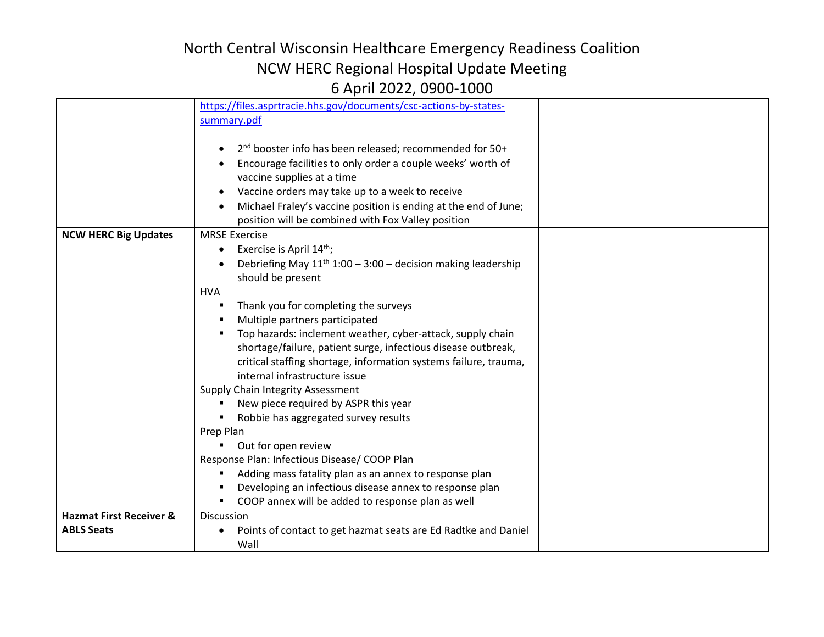|                                    | https://files.asprtracie.hhs.gov/documents/csc-actions-by-states-            |  |
|------------------------------------|------------------------------------------------------------------------------|--|
|                                    | summary.pdf                                                                  |  |
|                                    |                                                                              |  |
|                                    | 2 <sup>nd</sup> booster info has been released; recommended for 50+          |  |
|                                    | Encourage facilities to only order a couple weeks' worth of                  |  |
|                                    | vaccine supplies at a time                                                   |  |
|                                    | Vaccine orders may take up to a week to receive                              |  |
|                                    | Michael Fraley's vaccine position is ending at the end of June;              |  |
|                                    | position will be combined with Fox Valley position                           |  |
| <b>NCW HERC Big Updates</b>        | <b>MRSE Exercise</b>                                                         |  |
|                                    | Exercise is April 14 <sup>th</sup> ;<br>$\bullet$                            |  |
|                                    | Debriefing May 11 <sup>th</sup> 1:00 - 3:00 - decision making leadership     |  |
|                                    | should be present                                                            |  |
|                                    | <b>HVA</b>                                                                   |  |
|                                    | Thank you for completing the surveys<br>٠                                    |  |
|                                    | Multiple partners participated                                               |  |
|                                    | Top hazards: inclement weather, cyber-attack, supply chain<br>$\blacksquare$ |  |
|                                    | shortage/failure, patient surge, infectious disease outbreak,                |  |
|                                    | critical staffing shortage, information systems failure, trauma,             |  |
|                                    | internal infrastructure issue                                                |  |
|                                    | Supply Chain Integrity Assessment                                            |  |
|                                    | New piece required by ASPR this year                                         |  |
|                                    | Robbie has aggregated survey results                                         |  |
|                                    | Prep Plan                                                                    |  |
|                                    | Out for open review                                                          |  |
|                                    | Response Plan: Infectious Disease/ COOP Plan                                 |  |
|                                    | Adding mass fatality plan as an annex to response plan<br>٠                  |  |
|                                    | Developing an infectious disease annex to response plan                      |  |
|                                    | COOP annex will be added to response plan as well<br>٠                       |  |
| <b>Hazmat First Receiver &amp;</b> | Discussion                                                                   |  |
| <b>ABLS Seats</b>                  | Points of contact to get hazmat seats are Ed Radtke and Daniel               |  |
|                                    | Wall                                                                         |  |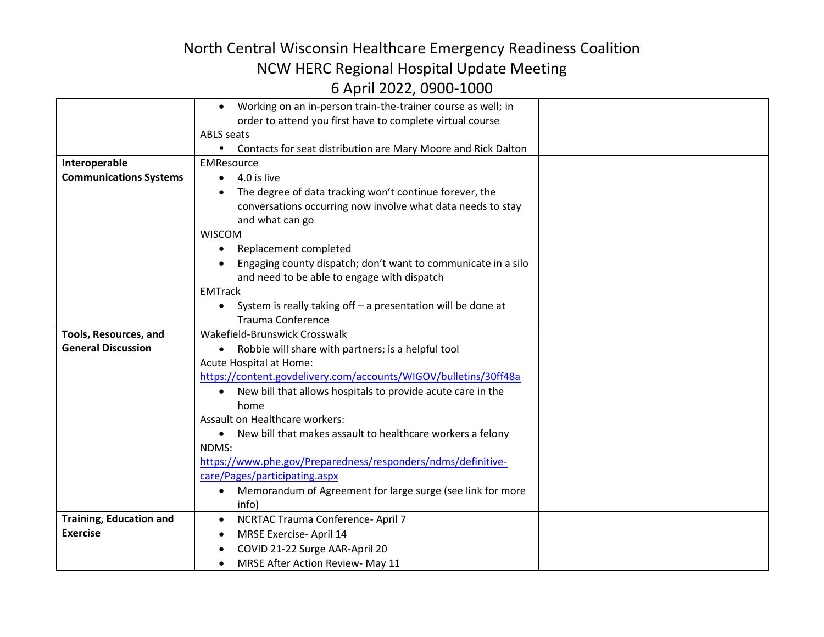|                                | Working on an in-person train-the-trainer course as well; in<br>$\bullet$ |  |
|--------------------------------|---------------------------------------------------------------------------|--|
|                                | order to attend you first have to complete virtual course                 |  |
|                                | <b>ABLS</b> seats                                                         |  |
|                                | Contacts for seat distribution are Mary Moore and Rick Dalton<br>٠        |  |
| Interoperable                  | <b>EMResource</b>                                                         |  |
| <b>Communications Systems</b>  | $\bullet$ 4.0 is live                                                     |  |
|                                | The degree of data tracking won't continue forever, the                   |  |
|                                | conversations occurring now involve what data needs to stay               |  |
|                                | and what can go                                                           |  |
|                                | <b>WISCOM</b>                                                             |  |
|                                | Replacement completed<br>٠                                                |  |
|                                | Engaging county dispatch; don't want to communicate in a silo             |  |
|                                | and need to be able to engage with dispatch                               |  |
|                                | <b>EMTrack</b>                                                            |  |
|                                | System is really taking off - a presentation will be done at<br>$\bullet$ |  |
|                                | <b>Trauma Conference</b>                                                  |  |
| Tools, Resources, and          | Wakefield-Brunswick Crosswalk                                             |  |
| <b>General Discussion</b>      | • Robbie will share with partners; is a helpful tool                      |  |
|                                | Acute Hospital at Home:                                                   |  |
|                                | https://content.govdelivery.com/accounts/WIGOV/bulletins/30ff48a          |  |
|                                | New bill that allows hospitals to provide acute care in the<br>$\bullet$  |  |
|                                | home                                                                      |  |
|                                | Assault on Healthcare workers:                                            |  |
|                                | New bill that makes assault to healthcare workers a felony<br>$\bullet$   |  |
|                                | NDMS:                                                                     |  |
|                                | https://www.phe.gov/Preparedness/responders/ndms/definitive-              |  |
|                                | care/Pages/participating.aspx                                             |  |
|                                | Memorandum of Agreement for large surge (see link for more<br>٠           |  |
|                                | info)                                                                     |  |
| <b>Training, Education and</b> | NCRTAC Trauma Conference- April 7<br>$\bullet$                            |  |
| <b>Exercise</b>                | MRSE Exercise- April 14<br>٠                                              |  |
|                                | COVID 21-22 Surge AAR-April 20                                            |  |
|                                | MRSE After Action Review- May 11<br>$\bullet$                             |  |